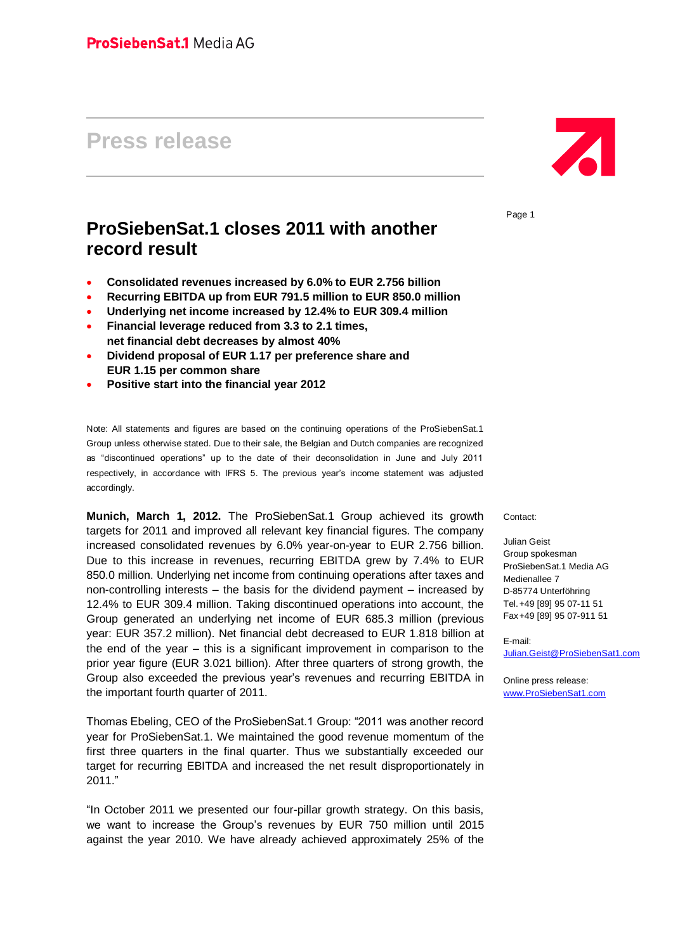# **Press release**

## **ProSiebenSat.1 closes 2011 with another record result**

- **Consolidated revenues increased by 6.0% to EUR 2.756 billion**
- **Recurring EBITDA up from EUR 791.5 million to EUR 850.0 million**
- **Underlying net income increased by 12.4% to EUR 309.4 million**
- **Financial leverage reduced from 3.3 to 2.1 times, net financial debt decreases by almost 40%**
- **Dividend proposal of EUR 1.17 per preference share and EUR 1.15 per common share**
- **Positive start into the financial year 2012**

Note: All statements and figures are based on the continuing operations of the ProSiebenSat.1 Group unless otherwise stated. Due to their sale, the Belgian and Dutch companies are recognized as "discontinued operations" up to the date of their deconsolidation in June and July 2011 respectively, in accordance with IFRS 5. The previous year's income statement was adjusted accordingly.

**Munich, March 1, 2012.** The ProSiebenSat.1 Group achieved its growth targets for 2011 and improved all relevant key financial figures. The company increased consolidated revenues by 6.0% year-on-year to EUR 2.756 billion. Due to this increase in revenues, recurring EBITDA grew by 7.4% to EUR 850.0 million. Underlying net income from continuing operations after taxes and non-controlling interests – the basis for the dividend payment – increased by 12.4% to EUR 309.4 million. Taking discontinued operations into account, the Group generated an underlying net income of EUR 685.3 million (previous year: EUR 357.2 million). Net financial debt decreased to EUR 1.818 billion at the end of the year – this is a significant improvement in comparison to the prior year figure (EUR 3.021 billion). After three quarters of strong growth, the Group also exceeded the previous year's revenues and recurring EBITDA in the important fourth quarter of 2011.

Thomas Ebeling, CEO of the ProSiebenSat.1 Group: "2011 was another record year for ProSiebenSat.1. We maintained the good revenue momentum of the first three quarters in the final quarter. Thus we substantially exceeded our target for recurring EBITDA and increased the net result disproportionately in 2011."

"In October 2011 we presented our four-pillar growth strategy. On this basis, we want to increase the Group's revenues by EUR 750 million until 2015 against the year 2010. We have already achieved approximately 25% of the



Page 1

Contact:

Julian Geist Group spokesman ProSiebenSat.1 Media AG Medienallee 7 D-85774 Unterföhring Tel.+49 [89] 95 07-11 51 Fax+49 [89] 95 07-911 51

E-mail:

[Julian.Geist@ProSiebenSat1.com](mailto:Julian.Geist@ProSiebenSat1.com)

Online press release: [www.ProSiebenSat1.com](http://www.prosiebensat1.com/)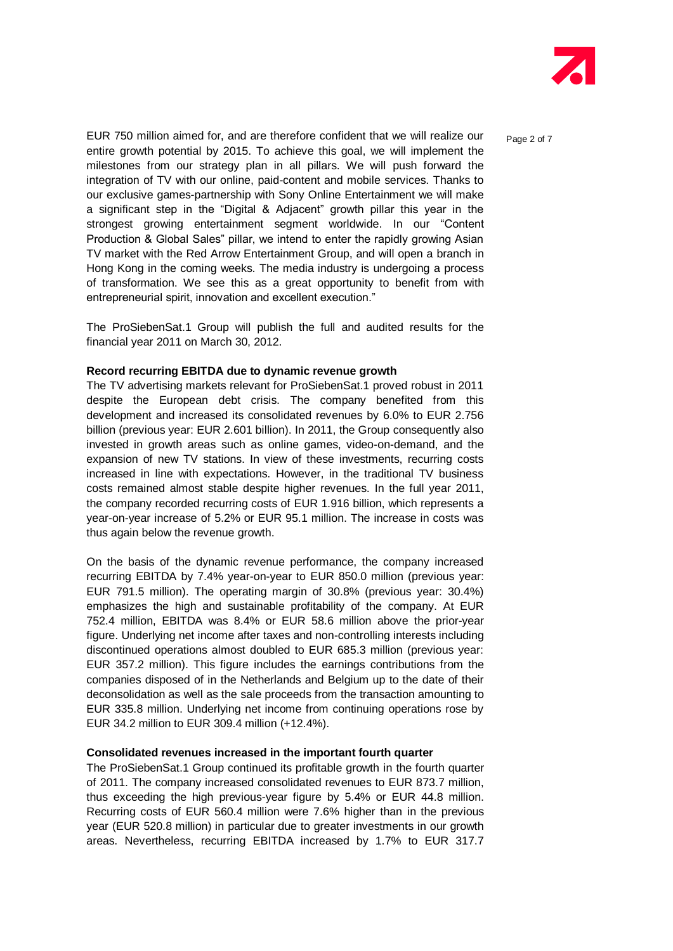

EUR 750 million aimed for, and are therefore confident that we will realize our  $P_{\text{aqe 2 of 7}}$ entire growth potential by 2015. To achieve this goal, we will implement the milestones from our strategy plan in all pillars. We will push forward the integration of TV with our online, paid-content and mobile services. Thanks to our exclusive games-partnership with Sony Online Entertainment we will make a significant step in the "Digital & Adjacent" growth pillar this year in the strongest growing entertainment segment worldwide. In our "Content Production & Global Sales" pillar, we intend to enter the rapidly growing Asian TV market with the Red Arrow Entertainment Group, and will open a branch in Hong Kong in the coming weeks. The media industry is undergoing a process of transformation. We see this as a great opportunity to benefit from with entrepreneurial spirit, innovation and excellent execution."

The ProSiebenSat.1 Group will publish the full and audited results for the financial year 2011 on March 30, 2012.

#### **Record recurring EBITDA due to dynamic revenue growth**

The TV advertising markets relevant for ProSiebenSat.1 proved robust in 2011 despite the European debt crisis. The company benefited from this development and increased its consolidated revenues by 6.0% to EUR 2.756 billion (previous year: EUR 2.601 billion). In 2011, the Group consequently also invested in growth areas such as online games, video-on-demand, and the expansion of new TV stations. In view of these investments, recurring costs increased in line with expectations. However, in the traditional TV business costs remained almost stable despite higher revenues. In the full year 2011, the company recorded recurring costs of EUR 1.916 billion, which represents a year-on-year increase of 5.2% or EUR 95.1 million. The increase in costs was thus again below the revenue growth.

On the basis of the dynamic revenue performance, the company increased recurring EBITDA by 7.4% year-on-year to EUR 850.0 million (previous year: EUR 791.5 million). The operating margin of 30.8% (previous year: 30.4%) emphasizes the high and sustainable profitability of the company. At EUR 752.4 million, EBITDA was 8.4% or EUR 58.6 million above the prior-year figure. Underlying net income after taxes and non-controlling interests including discontinued operations almost doubled to EUR 685.3 million (previous year: EUR 357.2 million). This figure includes the earnings contributions from the companies disposed of in the Netherlands and Belgium up to the date of their deconsolidation as well as the sale proceeds from the transaction amounting to EUR 335.8 million. Underlying net income from continuing operations rose by EUR 34.2 million to EUR 309.4 million (+12.4%).

#### **Consolidated revenues increased in the important fourth quarter**

The ProSiebenSat.1 Group continued its profitable growth in the fourth quarter of 2011. The company increased consolidated revenues to EUR 873.7 million, thus exceeding the high previous-year figure by 5.4% or EUR 44.8 million. Recurring costs of EUR 560.4 million were 7.6% higher than in the previous year (EUR 520.8 million) in particular due to greater investments in our growth areas. Nevertheless, recurring EBITDA increased by 1.7% to EUR 317.7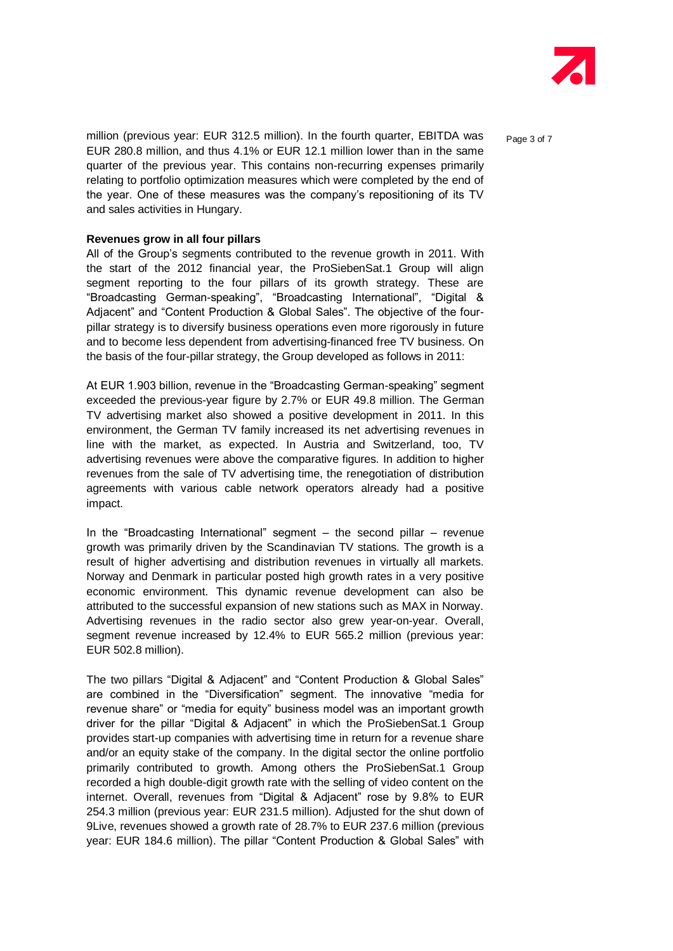

million (previous year: EUR 312.5 million). In the fourth quarter, EBITDA was  $P_{\text{aqe 3 of 7}}$ EUR 280.8 million, and thus 4.1% or EUR 12.1 million lower than in the same quarter of the previous year. This contains non-recurring expenses primarily relating to portfolio optimization measures which were completed by the end of the year. One of these measures was the company's repositioning of its TV and sales activities in Hungary.

#### **Revenues grow in all four pillars**

All of the Group's segments contributed to the revenue growth in 2011. With the start of the 2012 financial year, the ProSiebenSat.1 Group will align segment reporting to the four pillars of its growth strategy. These are "Broadcasting German-speaking", "Broadcasting International", "Digital & Adjacent" and "Content Production & Global Sales". The objective of the fourpillar strategy is to diversify business operations even more rigorously in future and to become less dependent from advertising-financed free TV business. On the basis of the four-pillar strategy, the Group developed as follows in 2011:

At EUR 1.903 billion, revenue in the "Broadcasting German-speaking" segment exceeded the previous-year figure by 2.7% or EUR 49.8 million. The German TV advertising market also showed a positive development in 2011. In this environment, the German TV family increased its net advertising revenues in line with the market, as expected. In Austria and Switzerland, too, TV advertising revenues were above the comparative figures. In addition to higher revenues from the sale of TV advertising time, the renegotiation of distribution agreements with various cable network operators already had a positive impact.

In the "Broadcasting International" segment – the second pillar – revenue growth was primarily driven by the Scandinavian TV stations. The growth is a result of higher advertising and distribution revenues in virtually all markets. Norway and Denmark in particular posted high growth rates in a very positive economic environment. This dynamic revenue development can also be attributed to the successful expansion of new stations such as MAX in Norway. Advertising revenues in the radio sector also grew year-on-year. Overall, segment revenue increased by 12.4% to EUR 565.2 million (previous year: EUR 502.8 million).

The two pillars "Digital & Adjacent" and "Content Production & Global Sales" are combined in the "Diversification" segment. The innovative "media for revenue share" or "media for equity" business model was an important growth driver for the pillar "Digital & Adjacent" in which the ProSiebenSat.1 Group provides start-up companies with advertising time in return for a revenue share and/or an equity stake of the company. In the digital sector the online portfolio primarily contributed to growth. Among others the ProSiebenSat.1 Group recorded a high double-digit growth rate with the selling of video content on the internet. Overall, revenues from "Digital & Adjacent" rose by 9.8% to EUR 254.3 million (previous year: EUR 231.5 million). Adjusted for the shut down of 9Live, revenues showed a growth rate of 28.7% to EUR 237.6 million (previous year: EUR 184.6 million). The pillar "Content Production & Global Sales" with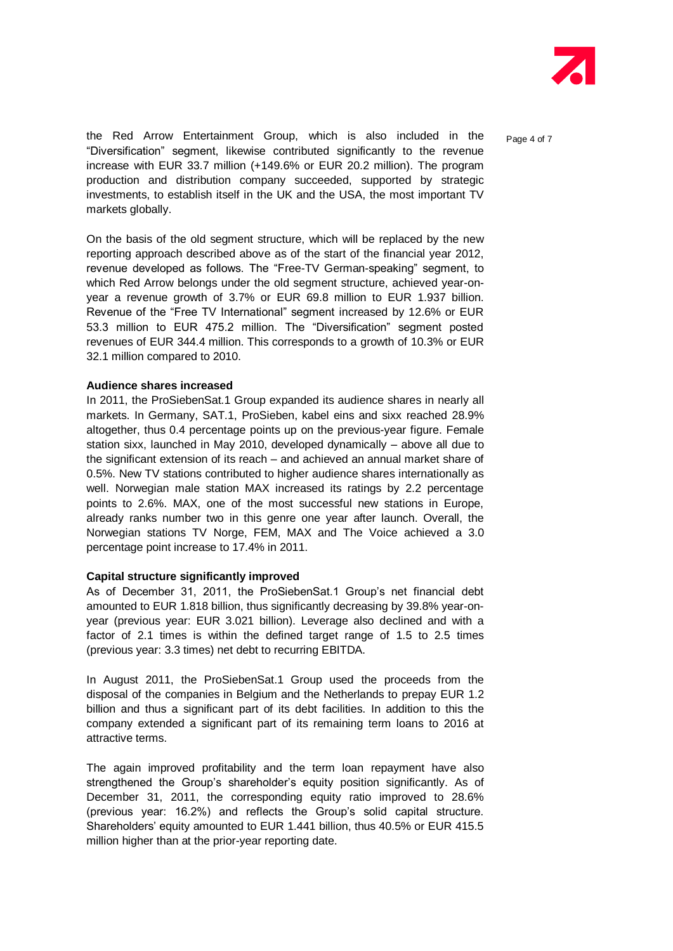

the Red Arrow Entertainment Group, which is also included in the  $P_{aqe\ 4\ of\ 7}$ "Diversification" segment, likewise contributed significantly to the revenue increase with EUR 33.7 million (+149.6% or EUR 20.2 million). The program production and distribution company succeeded, supported by strategic investments, to establish itself in the UK and the USA, the most important TV markets globally.

On the basis of the old segment structure, which will be replaced by the new reporting approach described above as of the start of the financial year 2012, revenue developed as follows. The "Free-TV German-speaking" segment, to which Red Arrow belongs under the old segment structure, achieved year-onyear a revenue growth of 3.7% or EUR 69.8 million to EUR 1.937 billion. Revenue of the "Free TV International" segment increased by 12.6% or EUR 53.3 million to EUR 475.2 million. The "Diversification" segment posted revenues of EUR 344.4 million. This corresponds to a growth of 10.3% or EUR 32.1 million compared to 2010.

#### **Audience shares increased**

In 2011, the ProSiebenSat.1 Group expanded its audience shares in nearly all markets. In Germany, SAT.1, ProSieben, kabel eins and sixx reached 28.9% altogether, thus 0.4 percentage points up on the previous-year figure. Female station sixx, launched in May 2010, developed dynamically – above all due to the significant extension of its reach – and achieved an annual market share of 0.5%. New TV stations contributed to higher audience shares internationally as well. Norwegian male station MAX increased its ratings by 2.2 percentage points to 2.6%. MAX, one of the most successful new stations in Europe, already ranks number two in this genre one year after launch. Overall, the Norwegian stations TV Norge, FEM, MAX and The Voice achieved a 3.0 percentage point increase to 17.4% in 2011.

#### **Capital structure significantly improved**

As of December 31, 2011, the ProSiebenSat.1 Group's net financial debt amounted to EUR 1.818 billion, thus significantly decreasing by 39.8% year-onyear (previous year: EUR 3.021 billion). Leverage also declined and with a factor of 2.1 times is within the defined target range of 1.5 to 2.5 times (previous year: 3.3 times) net debt to recurring EBITDA.

In August 2011, the ProSiebenSat.1 Group used the proceeds from the disposal of the companies in Belgium and the Netherlands to prepay EUR 1.2 billion and thus a significant part of its debt facilities. In addition to this the company extended a significant part of its remaining term loans to 2016 at attractive terms.

The again improved profitability and the term loan repayment have also strengthened the Group's shareholder's equity position significantly. As of December 31, 2011, the corresponding equity ratio improved to 28.6% (previous year: 16.2%) and reflects the Group's solid capital structure. Shareholders' equity amounted to EUR 1.441 billion, thus 40.5% or EUR 415.5 million higher than at the prior-year reporting date.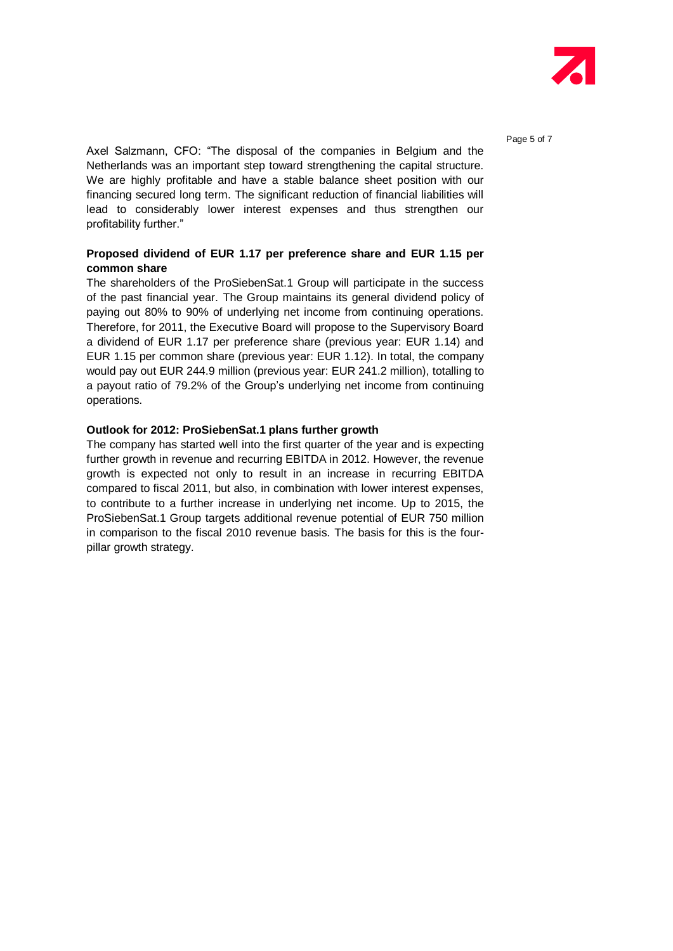

Axel Salzmann, CFO: "The disposal of the companies in Belgium and the Netherlands was an important step toward strengthening the capital structure. We are highly profitable and have a stable balance sheet position with our financing secured long term. The significant reduction of financial liabilities will lead to considerably lower interest expenses and thus strengthen our profitability further."

## **Proposed dividend of EUR 1.17 per preference share and EUR 1.15 per common share**

The shareholders of the ProSiebenSat.1 Group will participate in the success of the past financial year. The Group maintains its general dividend policy of paying out 80% to 90% of underlying net income from continuing operations. Therefore, for 2011, the Executive Board will propose to the Supervisory Board a dividend of EUR 1.17 per preference share (previous year: EUR 1.14) and EUR 1.15 per common share (previous year: EUR 1.12). In total, the company would pay out EUR 244.9 million (previous year: EUR 241.2 million), totalling to a payout ratio of 79.2% of the Group's underlying net income from continuing operations.

## **Outlook for 2012: ProSiebenSat.1 plans further growth**

The company has started well into the first quarter of the year and is expecting further growth in revenue and recurring EBITDA in 2012. However, the revenue growth is expected not only to result in an increase in recurring EBITDA compared to fiscal 2011, but also, in combination with lower interest expenses, to contribute to a further increase in underlying net income. Up to 2015, the ProSiebenSat.1 Group targets additional revenue potential of EUR 750 million in comparison to the fiscal 2010 revenue basis. The basis for this is the fourpillar growth strategy.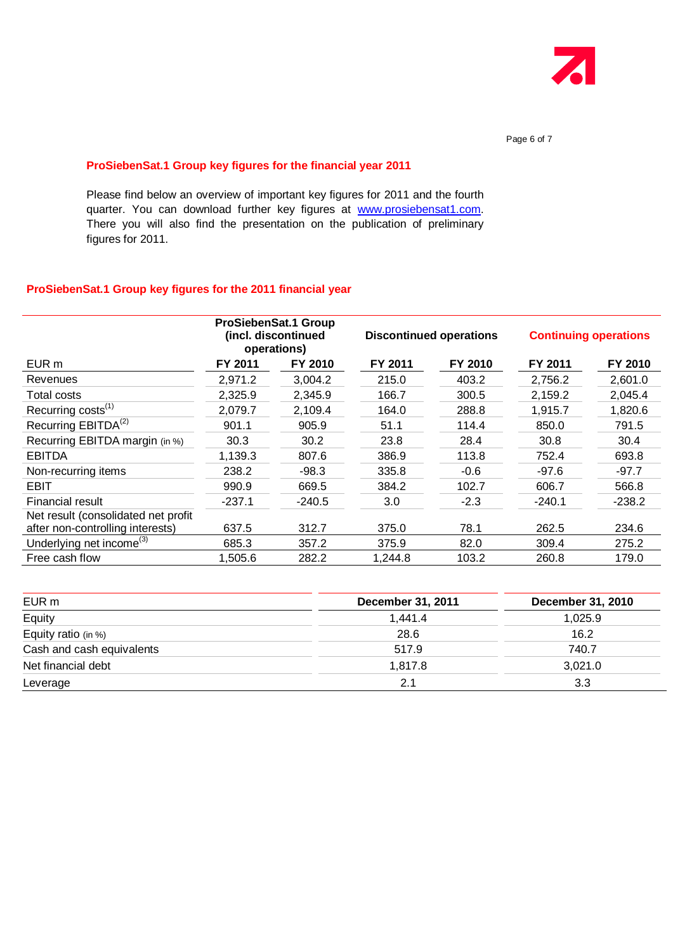

#### **ProSiebenSat.1 Group key figures for the financial year 2011**

Please find below an overview of important key figures for 2011 and the fourth quarter. You can download further key figures at [www.prosiebensat1.com.](http://www.prosiebensat1.com/) There you will also find the presentation on the publication of preliminary figures for 2011.

## **ProSiebenSat.1 Group key figures for the 2011 financial year**

|                                      | ProSiebenSat.1 Group<br>(incl. discontinued<br>operations) |          | <b>Discontinued operations</b> |         | <b>Continuing operations</b> |          |
|--------------------------------------|------------------------------------------------------------|----------|--------------------------------|---------|------------------------------|----------|
| EUR m                                | FY 2011                                                    | FY 2010  | FY 2011                        | FY 2010 | FY 2011                      | FY 2010  |
| Revenues                             | 2,971.2                                                    | 3,004.2  | 215.0                          | 403.2   | 2,756.2                      | 2,601.0  |
| <b>Total costs</b>                   | 2,325.9                                                    | 2,345.9  | 166.7                          | 300.5   | 2,159.2                      | 2,045.4  |
| Recurring costs <sup>(1)</sup>       | 2,079.7                                                    | 2,109.4  | 164.0                          | 288.8   | 1.915.7                      | 1,820.6  |
| Recurring EBITDA <sup>(2)</sup>      | 901.1                                                      | 905.9    | 51.1                           | 114.4   | 850.0                        | 791.5    |
| Recurring EBITDA margin (in %)       | 30.3                                                       | 30.2     | 23.8                           | 28.4    | 30.8                         | 30.4     |
| <b>EBITDA</b>                        | 1,139.3                                                    | 807.6    | 386.9                          | 113.8   | 752.4                        | 693.8    |
| Non-recurring items                  | 238.2                                                      | $-98.3$  | 335.8                          | $-0.6$  | $-97.6$                      | $-97.7$  |
| <b>EBIT</b>                          | 990.9                                                      | 669.5    | 384.2                          | 102.7   | 606.7                        | 566.8    |
| <b>Financial result</b>              | $-237.1$                                                   | $-240.5$ | 3.0                            | $-2.3$  | $-240.1$                     | $-238.2$ |
| Net result (consolidated net profit  |                                                            |          |                                |         |                              |          |
| after non-controlling interests)     | 637.5                                                      | 312.7    | 375.0                          | 78.1    | 262.5                        | 234.6    |
| Underlying net income <sup>(3)</sup> | 685.3                                                      | 357.2    | 375.9                          | 82.0    | 309.4                        | 275.2    |
| Free cash flow                       | 1,505.6                                                    | 282.2    | 1,244.8                        | 103.2   | 260.8                        | 179.0    |

| EUR <sub>m</sub>          | December 31, 2011 | December 31, 2010 |
|---------------------------|-------------------|-------------------|
| Equity                    | 1,441.4           | 1,025.9           |
| Equity ratio (in %)       | 28.6              | 16.2              |
| Cash and cash equivalents | 517.9             | 740.7             |
| Net financial debt        | 1,817.8           | 3,021.0           |
| Leverage                  | 2.1               | 3.3               |